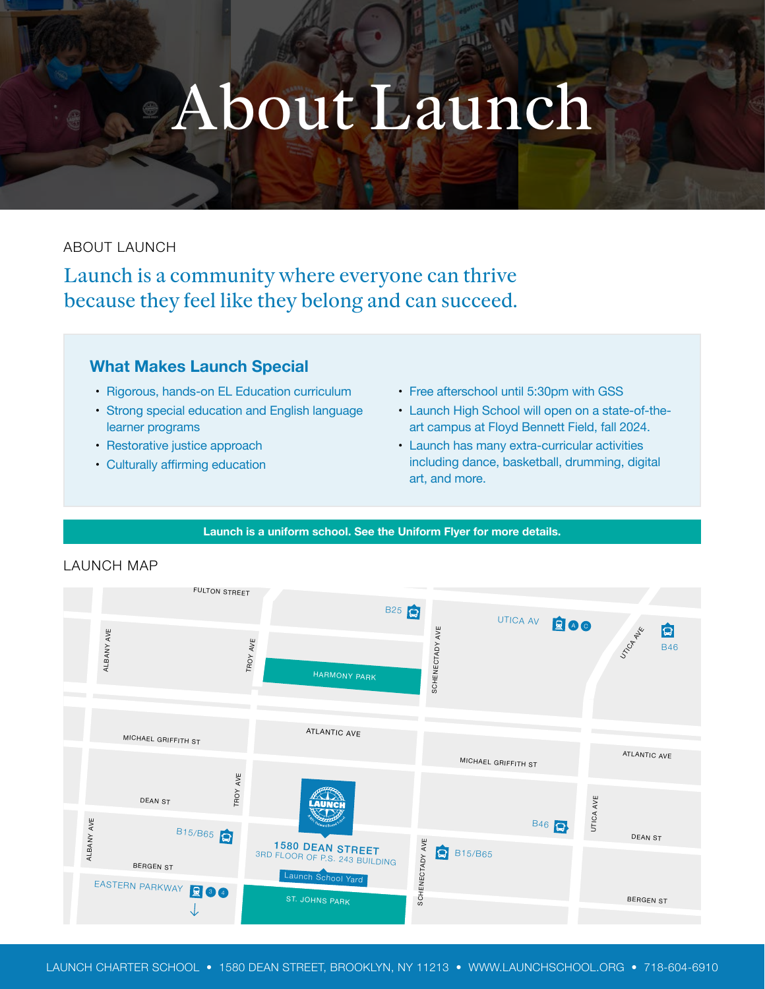# About Launch

## ABOUT LAUNCH

Launch is a community where everyone can thrive because they feel like they belong and can succeed.

# **What Makes Launch Special**

- Rigorous, hands-on EL Education curriculum
- Strong special education and English language learner programs
- Restorative justice approach
- Culturally affirming education
- Free afterschool until 5:30pm with GSS
- Launch High School will open on a state-of-theart campus at Floyd Bennett Field, fall 2024.
- • Launch has many extra-curricular activities including dance, basketball, drumming, digital art, and more.

#### **Launch is a uniform school. See the Uniform Flyer for more details.**



### LAUNCH MAP